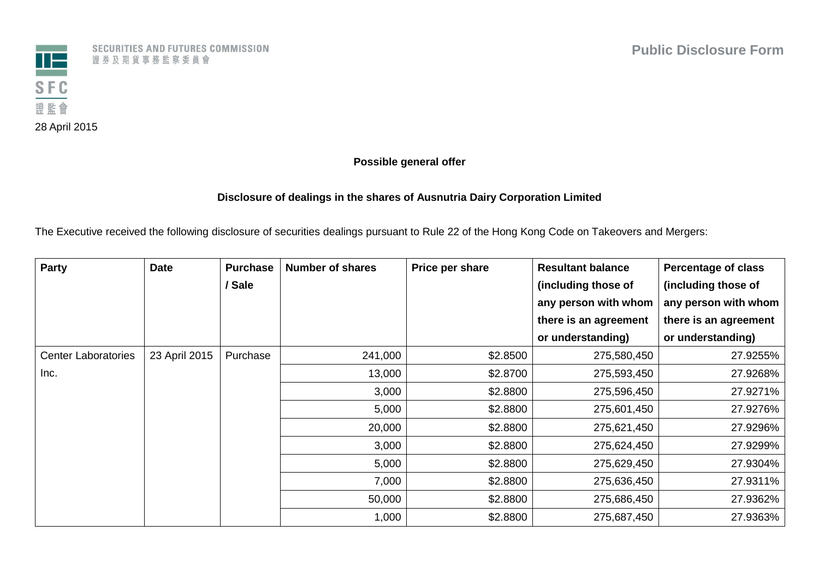

SECURITIES AND FUTURES COMMISSION 證券及期貨事務監察委員會

## **Possible general offer**

## **Disclosure of dealings in the shares of Ausnutria Dairy Corporation Limited**

The Executive received the following disclosure of securities dealings pursuant to Rule 22 of the Hong Kong Code on Takeovers and Mergers:

| Party                      | <b>Date</b>   | <b>Purchase</b> | <b>Number of shares</b> | Price per share | <b>Resultant balance</b> | <b>Percentage of class</b> |
|----------------------------|---------------|-----------------|-------------------------|-----------------|--------------------------|----------------------------|
|                            |               | / Sale          |                         |                 | (including those of      | (including those of        |
|                            |               |                 |                         |                 | any person with whom     | any person with whom       |
|                            |               |                 |                         |                 | there is an agreement    | there is an agreement      |
|                            |               |                 |                         |                 | or understanding)        | or understanding)          |
| <b>Center Laboratories</b> | 23 April 2015 | Purchase        | 241,000                 | \$2.8500        | 275,580,450              | 27.9255%                   |
| Inc.                       |               |                 | 13,000                  | \$2.8700        | 275,593,450              | 27.9268%                   |
|                            |               |                 | 3,000                   | \$2.8800        | 275,596,450              | 27.9271%                   |
|                            |               |                 | 5,000                   | \$2.8800        | 275,601,450              | 27.9276%                   |
|                            |               |                 | 20,000                  | \$2.8800        | 275,621,450              | 27.9296%                   |
|                            |               |                 | 3,000                   | \$2.8800        | 275,624,450              | 27.9299%                   |
|                            |               |                 | 5,000                   | \$2.8800        | 275,629,450              | 27.9304%                   |
|                            |               |                 | 7,000                   | \$2.8800        | 275,636,450              | 27.9311%                   |
|                            |               |                 | 50,000                  | \$2.8800        | 275,686,450              | 27.9362%                   |
|                            |               |                 | 1,000                   | \$2.8800        | 275,687,450              | 27.9363%                   |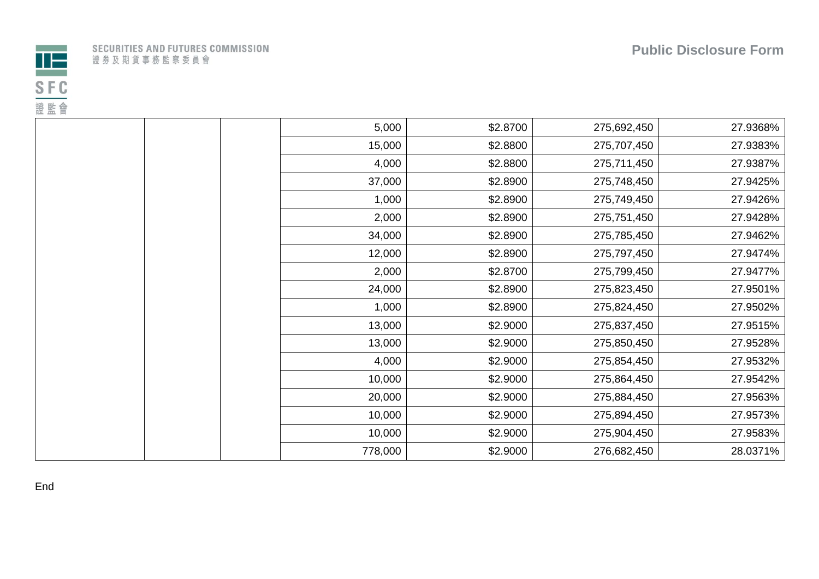

|              |  |  | SECURITIES AND FUTURES COMMISSION |
|--------------|--|--|-----------------------------------|
| 證券及期貨事務監察委員會 |  |  |                                   |

| 5,000<br>\$2.8700<br>275,692,450<br>15,000<br>\$2.8800<br>275,707,450<br>\$2.8800<br>4,000<br>275,711,450<br>\$2.8900<br>37,000<br>275,748,450<br>1,000<br>\$2.8900<br>275,749,450<br>2,000<br>\$2.8900<br>275,751,450<br>34,000<br>\$2.8900<br>275,785,450<br>12,000<br>\$2.8900<br>275,797,450<br>2,000<br>\$2.8700<br>275,799,450<br>\$2.8900<br>24,000<br>275,823,450<br>1,000<br>\$2.8900<br>275,824,450<br>13,000<br>\$2.9000<br>275,837,450<br>13,000<br>\$2.9000<br>275,850,450<br>4,000<br>\$2.9000<br>275,854,450<br>10,000<br>\$2.9000<br>275,864,450<br>20,000<br>\$2.9000<br>275,884,450<br>10,000<br>\$2.9000<br>275,894,450<br>10,000<br>\$2.9000<br>275,904,450<br>778,000<br>\$2.9000<br>276,682,450 |  |  |          |
|-----------------------------------------------------------------------------------------------------------------------------------------------------------------------------------------------------------------------------------------------------------------------------------------------------------------------------------------------------------------------------------------------------------------------------------------------------------------------------------------------------------------------------------------------------------------------------------------------------------------------------------------------------------------------------------------------------------------------|--|--|----------|
|                                                                                                                                                                                                                                                                                                                                                                                                                                                                                                                                                                                                                                                                                                                       |  |  | 27.9368% |
|                                                                                                                                                                                                                                                                                                                                                                                                                                                                                                                                                                                                                                                                                                                       |  |  | 27.9383% |
|                                                                                                                                                                                                                                                                                                                                                                                                                                                                                                                                                                                                                                                                                                                       |  |  | 27.9387% |
|                                                                                                                                                                                                                                                                                                                                                                                                                                                                                                                                                                                                                                                                                                                       |  |  | 27.9425% |
|                                                                                                                                                                                                                                                                                                                                                                                                                                                                                                                                                                                                                                                                                                                       |  |  | 27.9426% |
|                                                                                                                                                                                                                                                                                                                                                                                                                                                                                                                                                                                                                                                                                                                       |  |  | 27.9428% |
|                                                                                                                                                                                                                                                                                                                                                                                                                                                                                                                                                                                                                                                                                                                       |  |  | 27.9462% |
|                                                                                                                                                                                                                                                                                                                                                                                                                                                                                                                                                                                                                                                                                                                       |  |  | 27.9474% |
|                                                                                                                                                                                                                                                                                                                                                                                                                                                                                                                                                                                                                                                                                                                       |  |  | 27.9477% |
|                                                                                                                                                                                                                                                                                                                                                                                                                                                                                                                                                                                                                                                                                                                       |  |  | 27.9501% |
|                                                                                                                                                                                                                                                                                                                                                                                                                                                                                                                                                                                                                                                                                                                       |  |  | 27.9502% |
|                                                                                                                                                                                                                                                                                                                                                                                                                                                                                                                                                                                                                                                                                                                       |  |  | 27.9515% |
|                                                                                                                                                                                                                                                                                                                                                                                                                                                                                                                                                                                                                                                                                                                       |  |  | 27.9528% |
|                                                                                                                                                                                                                                                                                                                                                                                                                                                                                                                                                                                                                                                                                                                       |  |  | 27.9532% |
|                                                                                                                                                                                                                                                                                                                                                                                                                                                                                                                                                                                                                                                                                                                       |  |  | 27.9542% |
|                                                                                                                                                                                                                                                                                                                                                                                                                                                                                                                                                                                                                                                                                                                       |  |  | 27.9563% |
|                                                                                                                                                                                                                                                                                                                                                                                                                                                                                                                                                                                                                                                                                                                       |  |  | 27.9573% |
|                                                                                                                                                                                                                                                                                                                                                                                                                                                                                                                                                                                                                                                                                                                       |  |  | 27.9583% |
|                                                                                                                                                                                                                                                                                                                                                                                                                                                                                                                                                                                                                                                                                                                       |  |  | 28.0371% |